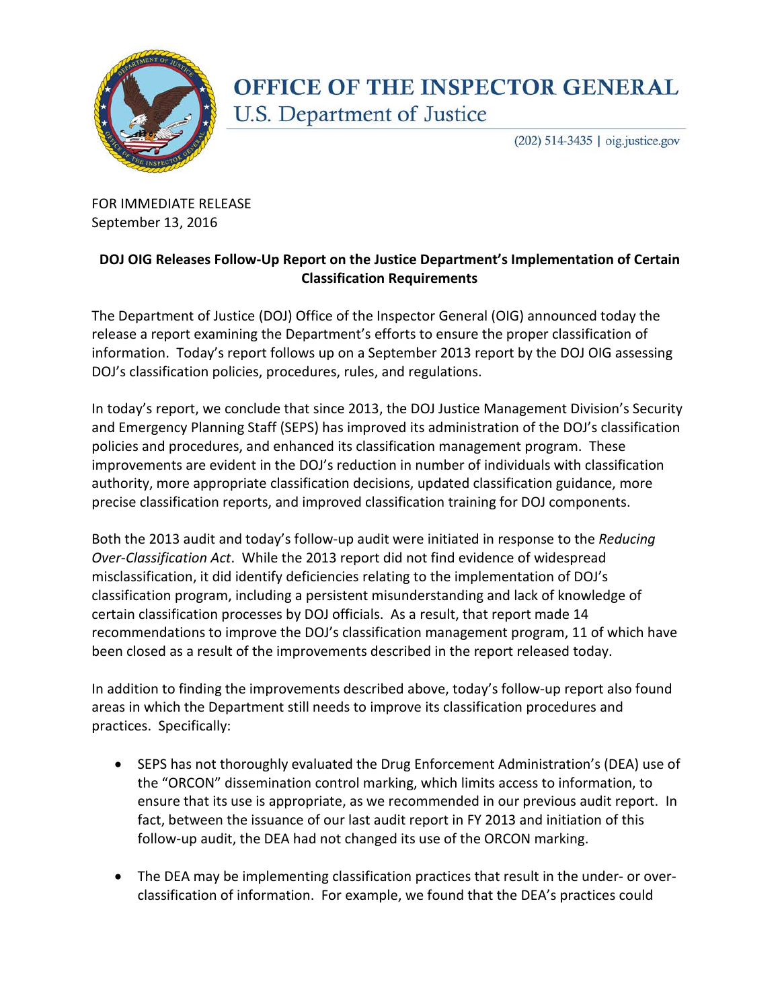

## **OFFICE OF THE INSPECTOR GENERAL** U.S. Department of Justice

(202) 514-3435 | oig.justice.gov

FOR IMMEDIATE RELEASE September 13, 2016

## **DOJ OIG Releases Follow-Up Report on the Justice Department's Implementation of Certain Classification Requirements**

The Department of Justice (DOJ) Office of the Inspector General (OIG) announced today the release a report examining the Department's efforts to ensure the proper classification of information. Today's report follows up on a September 2013 report by the DOJ OIG assessing DOJ's classification policies, procedures, rules, and regulations.

In today's report, we conclude that since 2013, the DOJ Justice Management Division's Security and Emergency Planning Staff (SEPS) has improved its administration of the DOJ's classification policies and procedures, and enhanced its classification management program. These improvements are evident in the DOJ's reduction in number of individuals with classification authority, more appropriate classification decisions, updated classification guidance, more precise classification reports, and improved classification training for DOJ components.

Both the 2013 audit and today's follow-up audit were initiated in response to the *Reducing Over-Classification Act*. While the 2013 report did not find evidence of widespread misclassification, it did identify deficiencies relating to the implementation of DOJ's classification program, including a persistent misunderstanding and lack of knowledge of certain classification processes by DOJ officials. As a result, that report made 14 recommendations to improve the DOJ's classification management program, 11 of which have been closed as a result of the improvements described in the report released today.

In addition to finding the improvements described above, today's follow-up report also found areas in which the Department still needs to improve its classification procedures and practices. Specifically:

- SEPS has not thoroughly evaluated the Drug Enforcement Administration's (DEA) use of the "ORCON" dissemination control marking, which limits access to information, to ensure that its use is appropriate, as we recommended in our previous audit report. In fact, between the issuance of our last audit report in FY 2013 and initiation of this follow-up audit, the DEA had not changed its use of the ORCON marking.
- The DEA may be implementing classification practices that result in the under- or overclassification of information. For example, we found that the DEA's practices could